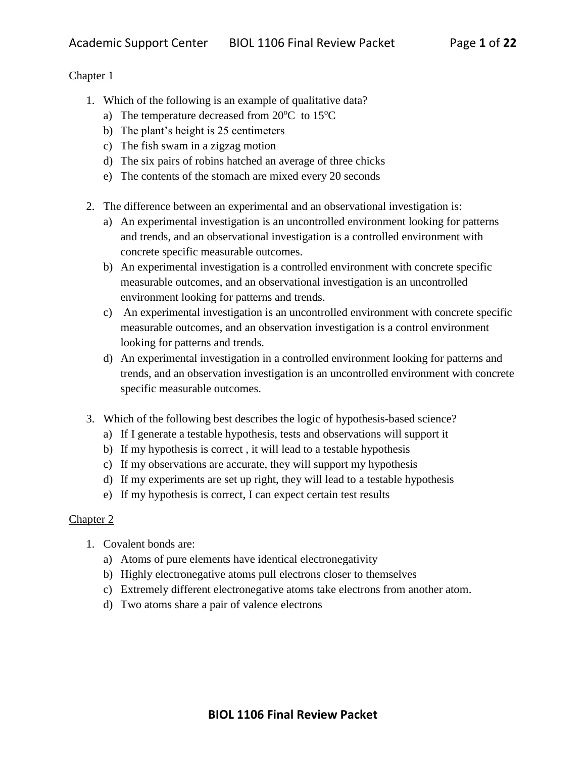- 1. Which of the following is an example of qualitative data?
	- a) The temperature decreased from  $20^{\circ}$ C to  $15^{\circ}$ C
	- b) The plant's height is 25 centimeters
	- c) The fish swam in a zigzag motion
	- d) The six pairs of robins hatched an average of three chicks
	- e) The contents of the stomach are mixed every 20 seconds
- 2. The difference between an experimental and an observational investigation is:
	- a) An experimental investigation is an uncontrolled environment looking for patterns and trends, and an observational investigation is a controlled environment with concrete specific measurable outcomes.
	- b) An experimental investigation is a controlled environment with concrete specific measurable outcomes, and an observational investigation is an uncontrolled environment looking for patterns and trends.
	- c) An experimental investigation is an uncontrolled environment with concrete specific measurable outcomes, and an observation investigation is a control environment looking for patterns and trends.
	- d) An experimental investigation in a controlled environment looking for patterns and trends, and an observation investigation is an uncontrolled environment with concrete specific measurable outcomes.
- 3. Which of the following best describes the logic of hypothesis-based science?
	- a) If I generate a testable hypothesis, tests and observations will support it
	- b) If my hypothesis is correct , it will lead to a testable hypothesis
	- c) If my observations are accurate, they will support my hypothesis
	- d) If my experiments are set up right, they will lead to a testable hypothesis
	- e) If my hypothesis is correct, I can expect certain test results

- 1. Covalent bonds are:
	- a) Atoms of pure elements have identical electronegativity
	- b) Highly electronegative atoms pull electrons closer to themselves
	- c) Extremely different electronegative atoms take electrons from another atom.
	- d) Two atoms share a pair of valence electrons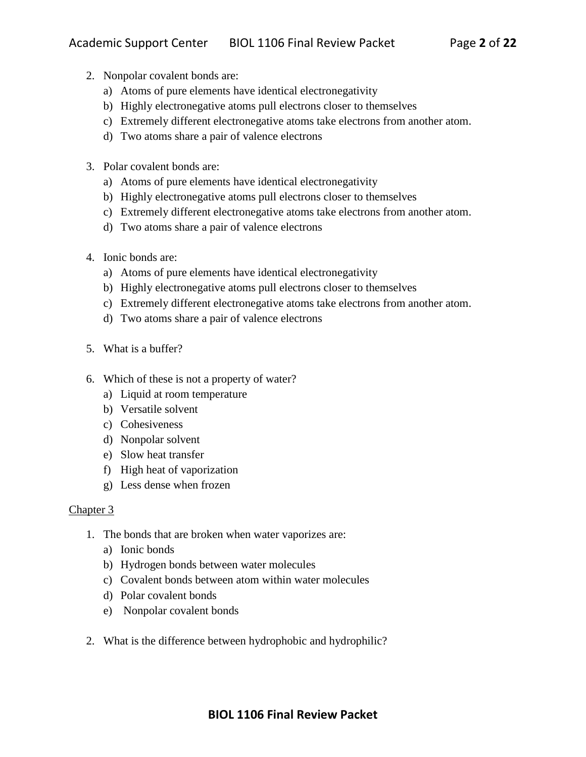- 2. Nonpolar covalent bonds are:
	- a) Atoms of pure elements have identical electronegativity
	- b) Highly electronegative atoms pull electrons closer to themselves
	- c) Extremely different electronegative atoms take electrons from another atom.
	- d) Two atoms share a pair of valence electrons
- 3. Polar covalent bonds are:
	- a) Atoms of pure elements have identical electronegativity
	- b) Highly electronegative atoms pull electrons closer to themselves
	- c) Extremely different electronegative atoms take electrons from another atom.
	- d) Two atoms share a pair of valence electrons
- 4. Ionic bonds are:
	- a) Atoms of pure elements have identical electronegativity
	- b) Highly electronegative atoms pull electrons closer to themselves
	- c) Extremely different electronegative atoms take electrons from another atom.
	- d) Two atoms share a pair of valence electrons
- 5. What is a buffer?
- 6. Which of these is not a property of water?
	- a) Liquid at room temperature
	- b) Versatile solvent
	- c) Cohesiveness
	- d) Nonpolar solvent
	- e) Slow heat transfer
	- f) High heat of vaporization
	- g) Less dense when frozen

- 1. The bonds that are broken when water vaporizes are:
	- a) Ionic bonds
	- b) Hydrogen bonds between water molecules
	- c) Covalent bonds between atom within water molecules
	- d) Polar covalent bonds
	- e) Nonpolar covalent bonds
- 2. What is the difference between hydrophobic and hydrophilic?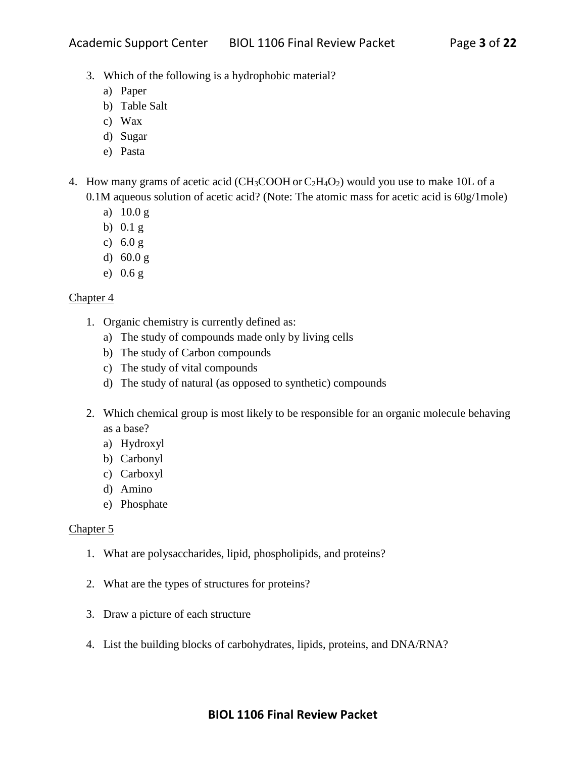- 3. Which of the following is a hydrophobic material?
	- a) Paper
	- b) Table Salt
	- c) Wax
	- d) Sugar
	- e) Pasta
- 4. How many grams of acetic acid ( $CH_3COOH$  or  $C_2H_4O_2$ ) would you use to make 10L of a 0.1M aqueous solution of acetic acid? (Note: The atomic mass for acetic acid is 60g/1mole)
	- a) 10.0 g
	- b) 0.1 g
	- c) 6.0 g
	- d) 60.0 g
	- e) 0.6 g

- 1. Organic chemistry is currently defined as:
	- a) The study of compounds made only by living cells
	- b) The study of Carbon compounds
	- c) The study of vital compounds
	- d) The study of natural (as opposed to synthetic) compounds
- 2. Which chemical group is most likely to be responsible for an organic molecule behaving as a base?
	- a) Hydroxyl
	- b) Carbonyl
	- c) Carboxyl
	- d) Amino
	- e) Phosphate

- 1. What are polysaccharides, lipid, phospholipids, and proteins?
- 2. What are the types of structures for proteins?
- 3. Draw a picture of each structure
- 4. List the building blocks of carbohydrates, lipids, proteins, and DNA/RNA?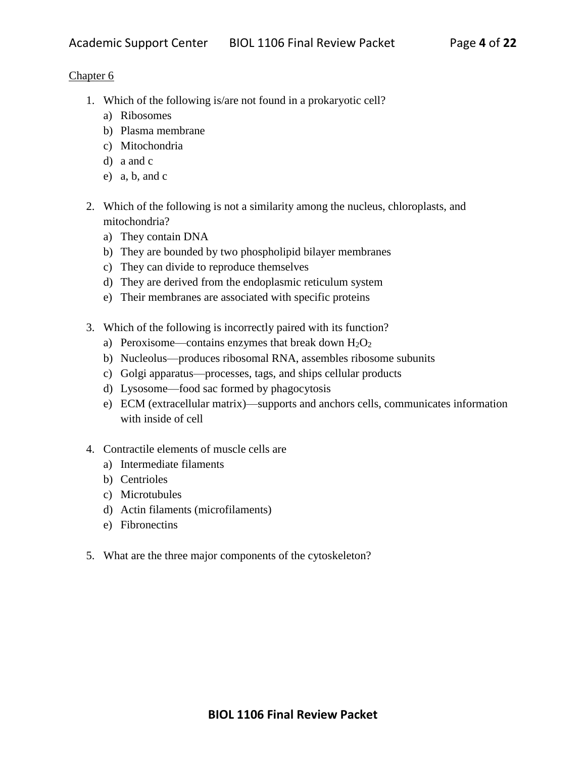- 1. Which of the following is/are not found in a prokaryotic cell?
	- a) Ribosomes
	- b) Plasma membrane
	- c) Mitochondria
	- d) a and c
	- e) a, b, and c
- 2. Which of the following is not a similarity among the nucleus, chloroplasts, and mitochondria?
	- a) They contain DNA
	- b) They are bounded by two phospholipid bilayer membranes
	- c) They can divide to reproduce themselves
	- d) They are derived from the endoplasmic reticulum system
	- e) Their membranes are associated with specific proteins
- 3. Which of the following is incorrectly paired with its function?
	- a) Peroxisome—contains enzymes that break down  $H_2O_2$
	- b) Nucleolus—produces ribosomal RNA, assembles ribosome subunits
	- c) Golgi apparatus—processes, tags, and ships cellular products
	- d) Lysosome—food sac formed by phagocytosis
	- e) ECM (extracellular matrix)—supports and anchors cells, communicates information with inside of cell
- 4. Contractile elements of muscle cells are
	- a) Intermediate filaments
	- b) Centrioles
	- c) Microtubules
	- d) Actin filaments (microfilaments)
	- e) Fibronectins
- 5. What are the three major components of the cytoskeleton?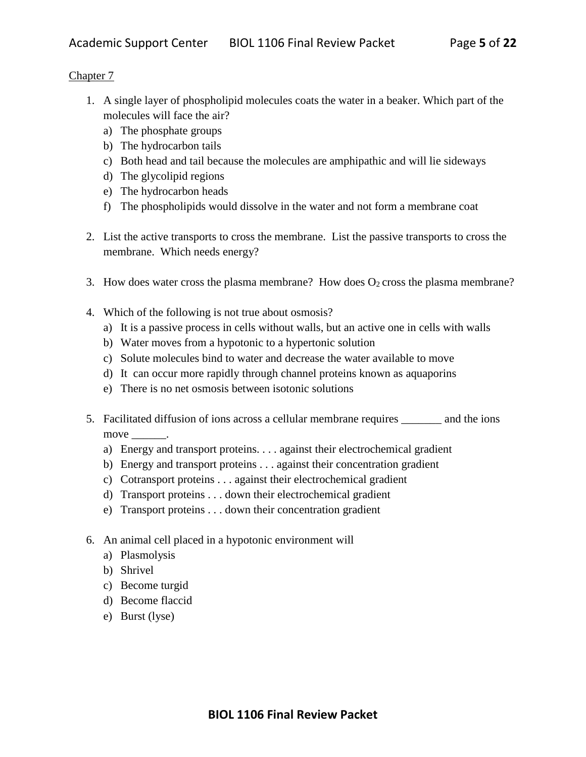- 1. A single layer of phospholipid molecules coats the water in a beaker. Which part of the molecules will face the air?
	- a) The phosphate groups
	- b) The hydrocarbon tails
	- c) Both head and tail because the molecules are amphipathic and will lie sideways
	- d) The glycolipid regions
	- e) The hydrocarbon heads
	- f) The phospholipids would dissolve in the water and not form a membrane coat
- 2. List the active transports to cross the membrane. List the passive transports to cross the membrane. Which needs energy?
- 3. How does water cross the plasma membrane? How does  $O_2$  cross the plasma membrane?
- 4. Which of the following is not true about osmosis?
	- a) It is a passive process in cells without walls, but an active one in cells with walls
	- b) Water moves from a hypotonic to a hypertonic solution
	- c) Solute molecules bind to water and decrease the water available to move
	- d) It can occur more rapidly through channel proteins known as aquaporins
	- e) There is no net osmosis between isotonic solutions
- 5. Facilitated diffusion of ions across a cellular membrane requires \_\_\_\_\_\_\_ and the ions move  $\_\_\_\_\$ .
	- a) Energy and transport proteins. . . . against their electrochemical gradient
	- b) Energy and transport proteins . . . against their concentration gradient
	- c) Cotransport proteins . . . against their electrochemical gradient
	- d) Transport proteins . . . down their electrochemical gradient
	- e) Transport proteins . . . down their concentration gradient
- 6. An animal cell placed in a hypotonic environment will
	- a) Plasmolysis
	- b) Shrivel
	- c) Become turgid
	- d) Become flaccid
	- e) Burst (lyse)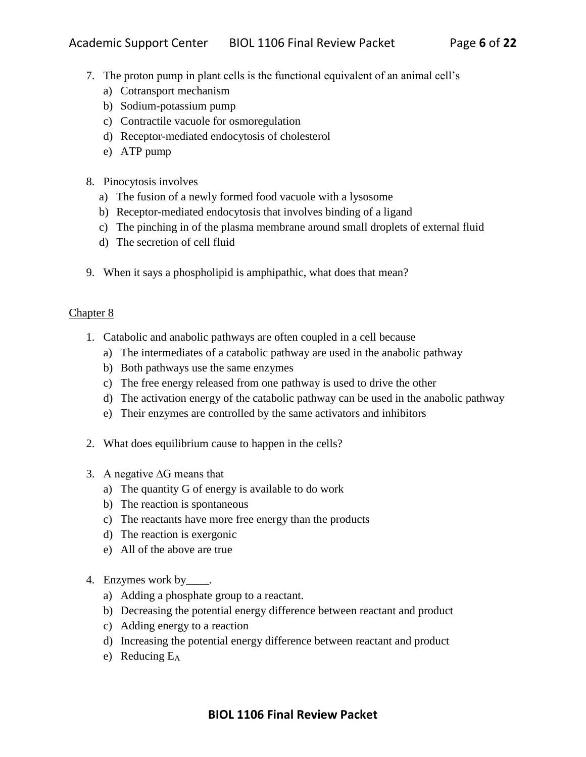- 7. The proton pump in plant cells is the functional equivalent of an animal cell's
	- a) Cotransport mechanism
	- b) Sodium-potassium pump
	- c) Contractile vacuole for osmoregulation
	- d) Receptor-mediated endocytosis of cholesterol
	- e) ATP pump
- 8. Pinocytosis involves
	- a) The fusion of a newly formed food vacuole with a lysosome
	- b) Receptor-mediated endocytosis that involves binding of a ligand
	- c) The pinching in of the plasma membrane around small droplets of external fluid
	- d) The secretion of cell fluid
- 9. When it says a phospholipid is amphipathic, what does that mean?

- 1. Catabolic and anabolic pathways are often coupled in a cell because
	- a) The intermediates of a catabolic pathway are used in the anabolic pathway
	- b) Both pathways use the same enzymes
	- c) The free energy released from one pathway is used to drive the other
	- d) The activation energy of the catabolic pathway can be used in the anabolic pathway
	- e) Their enzymes are controlled by the same activators and inhibitors
- 2. What does equilibrium cause to happen in the cells?
- 3. A negative ∆G means that
	- a) The quantity G of energy is available to do work
	- b) The reaction is spontaneous
	- c) The reactants have more free energy than the products
	- d) The reaction is exergonic
	- e) All of the above are true
- 4. Enzymes work by \_\_\_\_\_.
	- a) Adding a phosphate group to a reactant.
	- b) Decreasing the potential energy difference between reactant and product
	- c) Adding energy to a reaction
	- d) Increasing the potential energy difference between reactant and product
	- e) Reducing E<sup>A</sup>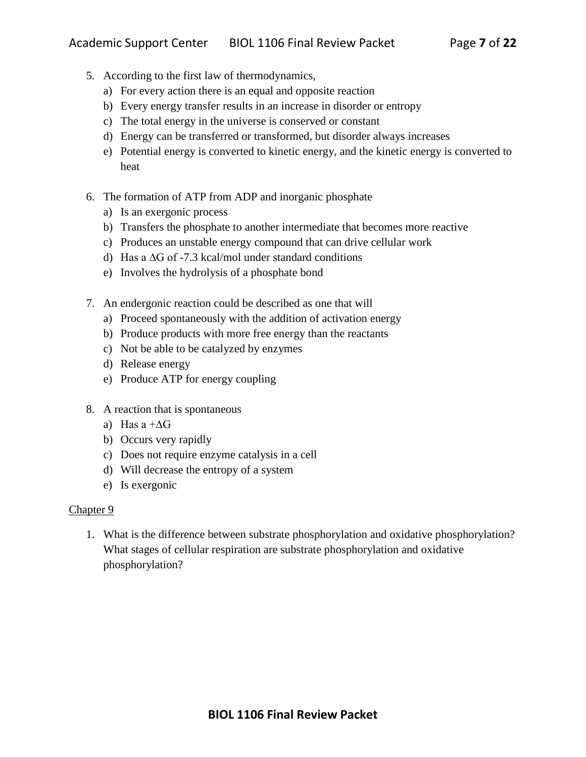- 5. According to the first law of thermodynamics,
	- a) For every action there is an equal and opposite reaction
	- b) Every energy transfer results in an increase in disorder or entropy
	- c) The total energy in the universe is conserved or constant
	- d) Energy can be transferred or transformed, but disorder always increases
	- e) Potential energy is converted to kinetic energy, and the kinetic energy is converted to heat
- 6. The formation of ATP from ADP and inorganic phosphate
	- a) Is an exergonic process
	- b) Transfers the phosphate to another intermediate that becomes more reactive
	- c) Produces an unstable energy compound that can drive cellular work
	- d) Has a ∆G of -7.3 kcal/mol under standard conditions
	- e) Involves the hydrolysis of a phosphate bond
- 7. An endergonic reaction could be described as one that will
	- a) Proceed spontaneously with the addition of activation energy
	- b) Produce products with more free energy than the reactants
	- c) Not be able to be catalyzed by enzymes
	- d) Release energy
	- e) Produce ATP for energy coupling
- 8. A reaction that is spontaneous
	- a) Has a +∆G
	- b) Occurs very rapidly
	- c) Does not require enzyme catalysis in a cell
	- d) Will decrease the entropy of a system
	- e) Is exergonic

1. What is the difference between substrate phosphorylation and oxidative phosphorylation? What stages of cellular respiration are substrate phosphorylation and oxidative phosphorylation?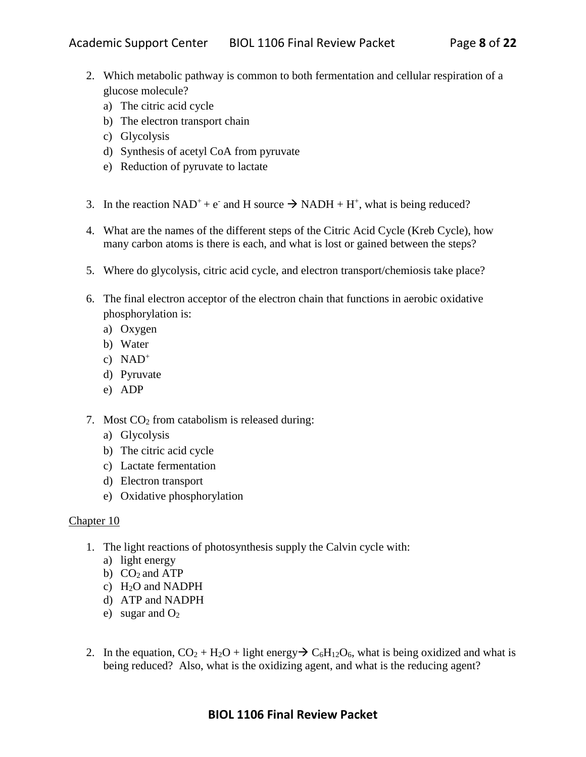- 2. Which metabolic pathway is common to both fermentation and cellular respiration of a glucose molecule?
	- a) The citric acid cycle
	- b) The electron transport chain
	- c) Glycolysis
	- d) Synthesis of acetyl CoA from pyruvate
	- e) Reduction of pyruvate to lactate
- 3. In the reaction  $NAD^+ + e^-$  and H source  $\rightarrow NADH + H^+$ , what is being reduced?
- 4. What are the names of the different steps of the Citric Acid Cycle (Kreb Cycle), how many carbon atoms is there is each, and what is lost or gained between the steps?
- 5. Where do glycolysis, citric acid cycle, and electron transport/chemiosis take place?
- 6. The final electron acceptor of the electron chain that functions in aerobic oxidative phosphorylation is:
	- a) Oxygen
	- b) Water
	- c)  $NAD^+$
	- d) Pyruvate
	- e) ADP
- 7. Most  $CO<sub>2</sub>$  from catabolism is released during:
	- a) Glycolysis
	- b) The citric acid cycle
	- c) Lactate fermentation
	- d) Electron transport
	- e) Oxidative phosphorylation

- 1. The light reactions of photosynthesis supply the Calvin cycle with:
	- a) light energy
	- b)  $CO<sub>2</sub>$  and ATP
	- c)  $H<sub>2</sub>O$  and NADPH
	- d) ATP and NADPH
	- e) sugar and  $O<sub>2</sub>$
- 2. In the equation,  $CO_2 + H_2O +$  light energy  $\rightarrow C_6H_{12}O_6$ , what is being oxidized and what is being reduced? Also, what is the oxidizing agent, and what is the reducing agent?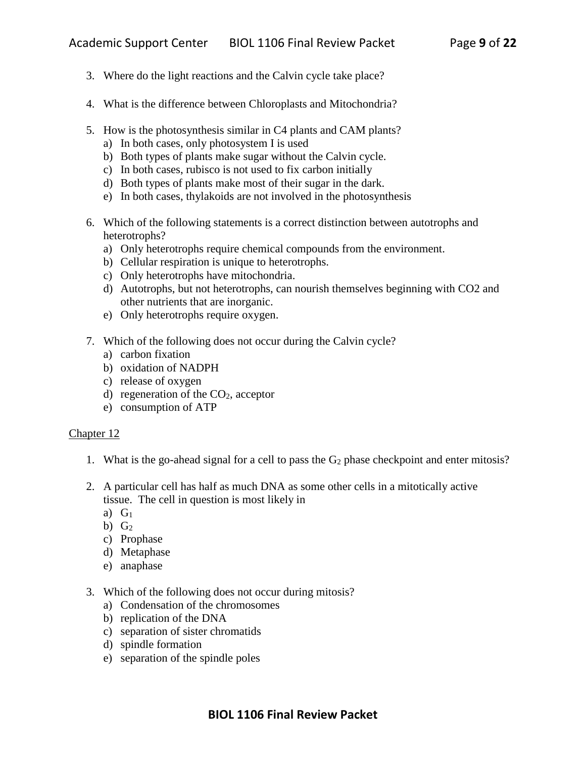- 3. Where do the light reactions and the Calvin cycle take place?
- 4. What is the difference between Chloroplasts and Mitochondria?
- 5. How is the photosynthesis similar in C4 plants and CAM plants?
	- a) In both cases, only photosystem I is used
	- b) Both types of plants make sugar without the Calvin cycle.
	- c) In both cases, rubisco is not used to fix carbon initially
	- d) Both types of plants make most of their sugar in the dark.
	- e) In both cases, thylakoids are not involved in the photosynthesis
- 6. Which of the following statements is a correct distinction between autotrophs and heterotrophs?
	- a) Only heterotrophs require chemical compounds from the environment.
	- b) Cellular respiration is unique to heterotrophs.
	- c) Only heterotrophs have mitochondria.
	- d) Autotrophs, but not heterotrophs, can nourish themselves beginning with CO2 and other nutrients that are inorganic.
	- e) Only heterotrophs require oxygen.
- 7. Which of the following does not occur during the Calvin cycle?
	- a) carbon fixation
	- b) oxidation of NADPH
	- c) release of oxygen
	- d) regeneration of the  $CO<sub>2</sub>$ , acceptor
	- e) consumption of ATP

- 1. What is the go-ahead signal for a cell to pass the  $G_2$  phase checkpoint and enter mitosis?
- 2. A particular cell has half as much DNA as some other cells in a mitotically active tissue. The cell in question is most likely in
	- a)  $G_1$
	- b)  $G_2$
	- c) Prophase
	- d) Metaphase
	- e) anaphase
- 3. Which of the following does not occur during mitosis?
	- a) Condensation of the chromosomes
	- b) replication of the DNA
	- c) separation of sister chromatids
	- d) spindle formation
	- e) separation of the spindle poles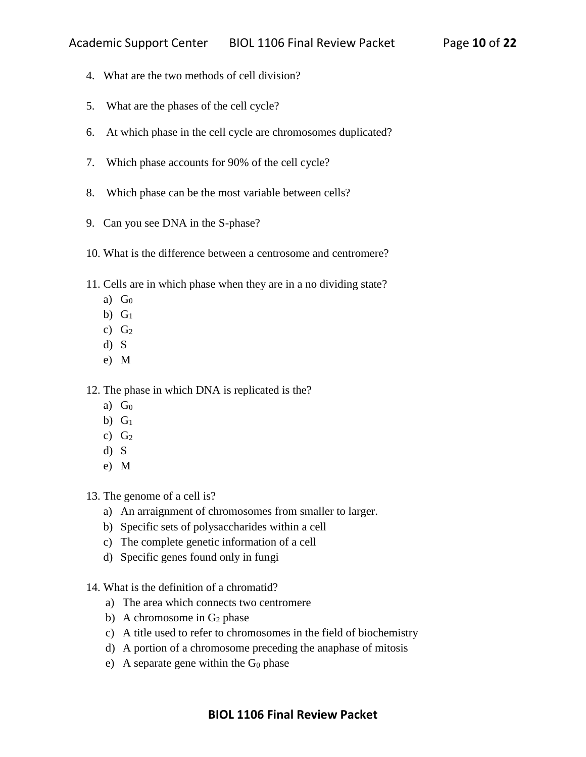- 4. What are the two methods of cell division?
- 5. What are the phases of the cell cycle?
- 6. At which phase in the cell cycle are chromosomes duplicated?
- 7. Which phase accounts for 90% of the cell cycle?
- 8. Which phase can be the most variable between cells?
- 9. Can you see DNA in the S-phase?
- 10. What is the difference between a centrosome and centromere?
- 11. Cells are in which phase when they are in a no dividing state?
	- a)  $G_0$
	- b)  $G_1$
	- c)  $G_2$
	- d) S
	- e) M

12. The phase in which DNA is replicated is the?

- a)  $G_0$
- b)  $G_1$
- c)  $G_2$
- d) S
- e) M

13. The genome of a cell is?

- a) An arraignment of chromosomes from smaller to larger.
- b) Specific sets of polysaccharides within a cell
- c) The complete genetic information of a cell
- d) Specific genes found only in fungi
- 14. What is the definition of a chromatid?
	- a) The area which connects two centromere
	- b) A chromosome in  $G_2$  phase
	- c) A title used to refer to chromosomes in the field of biochemistry
	- d) A portion of a chromosome preceding the anaphase of mitosis
	- e) A separate gene within the  $G_0$  phase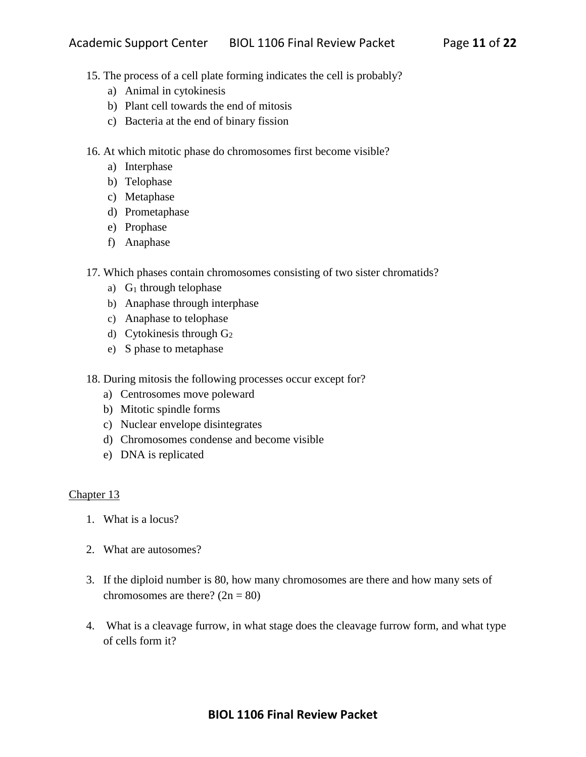- 15. The process of a cell plate forming indicates the cell is probably?
	- a) Animal in cytokinesis
	- b) Plant cell towards the end of mitosis
	- c) Bacteria at the end of binary fission
- 16. At which mitotic phase do chromosomes first become visible?
	- a) Interphase
	- b) Telophase
	- c) Metaphase
	- d) Prometaphase
	- e) Prophase
	- f) Anaphase
- 17. Which phases contain chromosomes consisting of two sister chromatids?
	- a)  $G_1$  through telophase
	- b) Anaphase through interphase
	- c) Anaphase to telophase
	- d) Cytokinesis through G<sup>2</sup>
	- e) S phase to metaphase
- 18. During mitosis the following processes occur except for?
	- a) Centrosomes move poleward
	- b) Mitotic spindle forms
	- c) Nuclear envelope disintegrates
	- d) Chromosomes condense and become visible
	- e) DNA is replicated

- 1. What is a locus?
- 2. What are autosomes?
- 3. If the diploid number is 80, how many chromosomes are there and how many sets of chromosomes are there?  $(2n = 80)$
- 4. What is a cleavage furrow, in what stage does the cleavage furrow form, and what type of cells form it?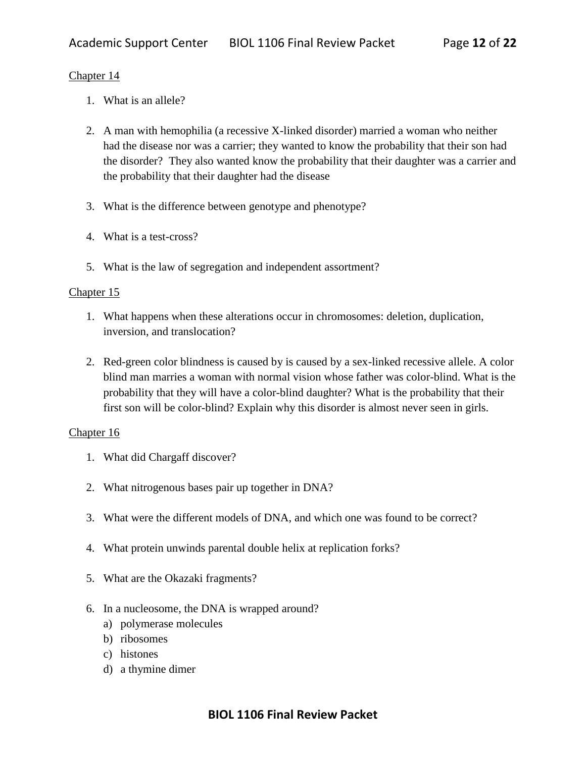- 1. What is an allele?
- 2. A man with hemophilia (a recessive X-linked disorder) married a woman who neither had the disease nor was a carrier; they wanted to know the probability that their son had the disorder? They also wanted know the probability that their daughter was a carrier and the probability that their daughter had the disease
- 3. What is the difference between genotype and phenotype?
- 4. What is a test-cross?
- 5. What is the law of segregation and independent assortment?

#### Chapter 15

- 1. What happens when these alterations occur in chromosomes: deletion, duplication, inversion, and translocation?
- 2. Red-green color blindness is caused by is caused by a sex-linked recessive allele. A color blind man marries a woman with normal vision whose father was color-blind. What is the probability that they will have a color-blind daughter? What is the probability that their first son will be color-blind? Explain why this disorder is almost never seen in girls.

- 1. What did Chargaff discover?
- 2. What nitrogenous bases pair up together in DNA?
- 3. What were the different models of DNA, and which one was found to be correct?
- 4. What protein unwinds parental double helix at replication forks?
- 5. What are the Okazaki fragments?
- 6. In a nucleosome, the DNA is wrapped around?
	- a) polymerase molecules
	- b) ribosomes
	- c) histones
	- d) a thymine dimer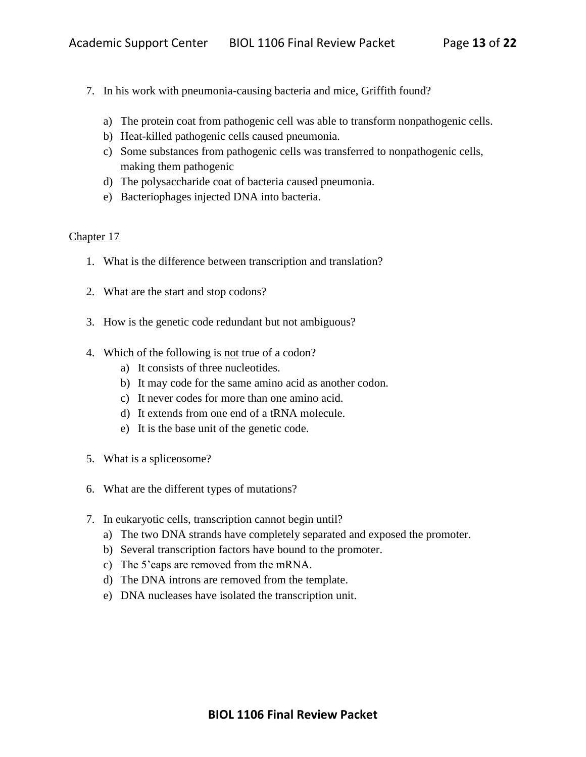- 7. In his work with pneumonia-causing bacteria and mice, Griffith found?
	- a) The protein coat from pathogenic cell was able to transform nonpathogenic cells.
	- b) Heat-killed pathogenic cells caused pneumonia.
	- c) Some substances from pathogenic cells was transferred to nonpathogenic cells, making them pathogenic
	- d) The polysaccharide coat of bacteria caused pneumonia.
	- e) Bacteriophages injected DNA into bacteria.

- 1. What is the difference between transcription and translation?
- 2. What are the start and stop codons?
- 3. How is the genetic code redundant but not ambiguous?
- 4. Which of the following is not true of a codon?
	- a) It consists of three nucleotides.
	- b) It may code for the same amino acid as another codon.
	- c) It never codes for more than one amino acid.
	- d) It extends from one end of a tRNA molecule.
	- e) It is the base unit of the genetic code.
- 5. What is a spliceosome?
- 6. What are the different types of mutations?
- 7. In eukaryotic cells, transcription cannot begin until?
	- a) The two DNA strands have completely separated and exposed the promoter.
	- b) Several transcription factors have bound to the promoter.
	- c) The 5'caps are removed from the mRNA.
	- d) The DNA introns are removed from the template.
	- e) DNA nucleases have isolated the transcription unit.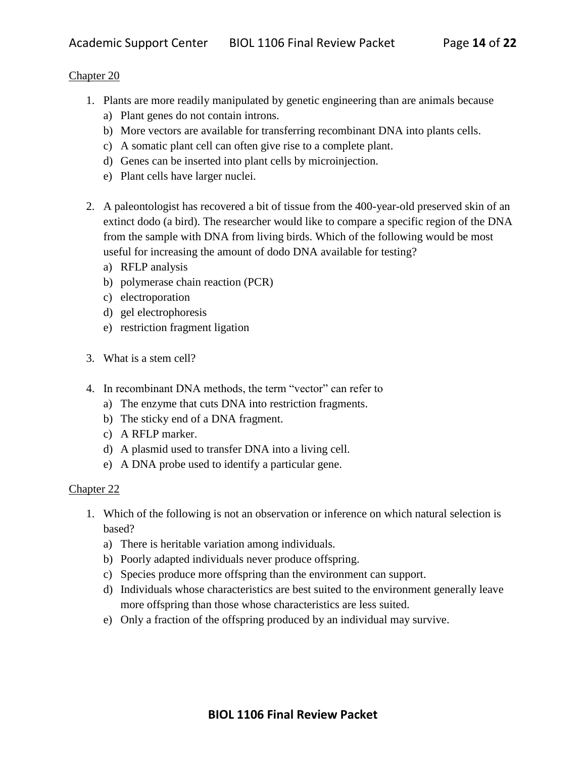- 1. Plants are more readily manipulated by genetic engineering than are animals because
	- a) Plant genes do not contain introns.
	- b) More vectors are available for transferring recombinant DNA into plants cells.
	- c) A somatic plant cell can often give rise to a complete plant.
	- d) Genes can be inserted into plant cells by microinjection.
	- e) Plant cells have larger nuclei.
- 2. A paleontologist has recovered a bit of tissue from the 400-year-old preserved skin of an extinct dodo (a bird). The researcher would like to compare a specific region of the DNA from the sample with DNA from living birds. Which of the following would be most useful for increasing the amount of dodo DNA available for testing?
	- a) RFLP analysis
	- b) polymerase chain reaction (PCR)
	- c) electroporation
	- d) gel electrophoresis
	- e) restriction fragment ligation
- 3. What is a stem cell?
- 4. In recombinant DNA methods, the term "vector" can refer to
	- a) The enzyme that cuts DNA into restriction fragments.
	- b) The sticky end of a DNA fragment.
	- c) A RFLP marker.
	- d) A plasmid used to transfer DNA into a living cell.
	- e) A DNA probe used to identify a particular gene.

- 1. Which of the following is not an observation or inference on which natural selection is based?
	- a) There is heritable variation among individuals.
	- b) Poorly adapted individuals never produce offspring.
	- c) Species produce more offspring than the environment can support.
	- d) Individuals whose characteristics are best suited to the environment generally leave more offspring than those whose characteristics are less suited.
	- e) Only a fraction of the offspring produced by an individual may survive.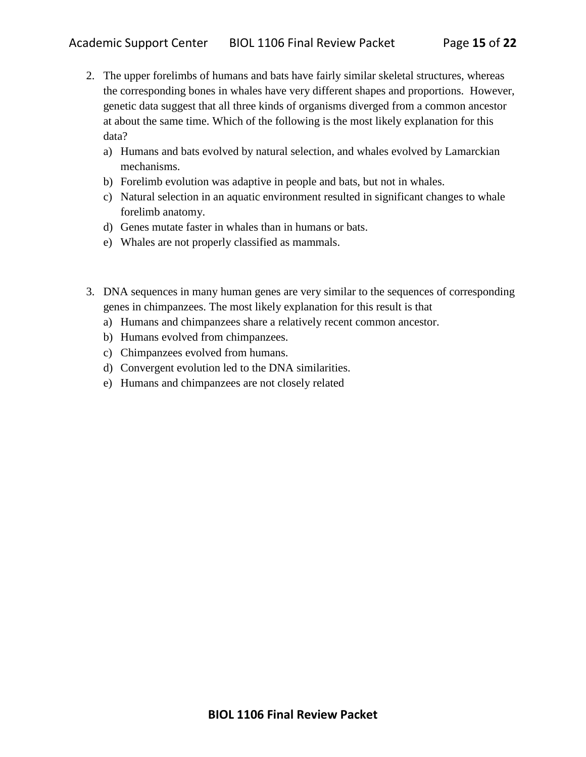- 2. The upper forelimbs of humans and bats have fairly similar skeletal structures, whereas the corresponding bones in whales have very different shapes and proportions. However, genetic data suggest that all three kinds of organisms diverged from a common ancestor at about the same time. Which of the following is the most likely explanation for this data?
	- a) Humans and bats evolved by natural selection, and whales evolved by Lamarckian mechanisms.
	- b) Forelimb evolution was adaptive in people and bats, but not in whales.
	- c) Natural selection in an aquatic environment resulted in significant changes to whale forelimb anatomy.
	- d) Genes mutate faster in whales than in humans or bats.
	- e) Whales are not properly classified as mammals.
- 3. DNA sequences in many human genes are very similar to the sequences of corresponding genes in chimpanzees. The most likely explanation for this result is that
	- a) Humans and chimpanzees share a relatively recent common ancestor.
	- b) Humans evolved from chimpanzees.
	- c) Chimpanzees evolved from humans.
	- d) Convergent evolution led to the DNA similarities.
	- e) Humans and chimpanzees are not closely related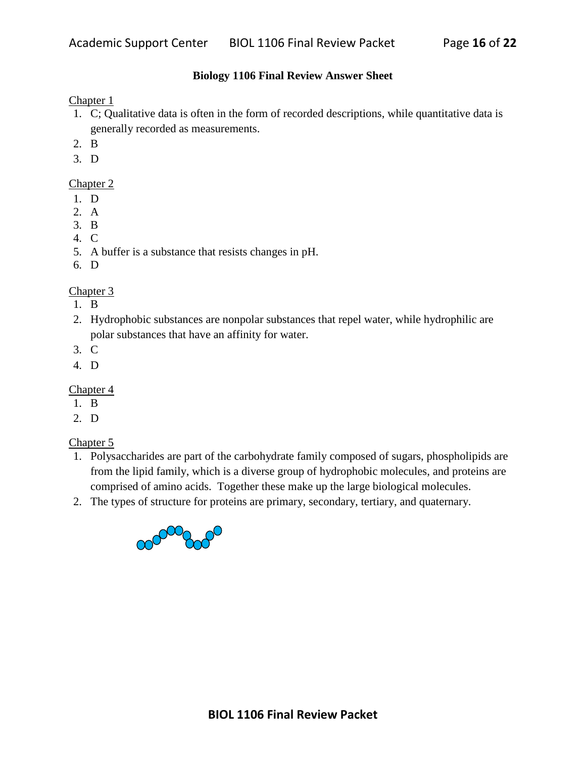# **Biology 1106 Final Review Answer Sheet**

Chapter 1

- 1. C; Qualitative data is often in the form of recorded descriptions, while quantitative data is generally recorded as measurements.
- 2. B
- 3. D

# Chapter 2

- 1. D
- 2. A
- 3. B
- 4. C
- 5. A buffer is a substance that resists changes in pH.
- 6. D

# Chapter 3

- 1. B
- 2. Hydrophobic substances are nonpolar substances that repel water, while hydrophilic are polar substances that have an affinity for water.
- 3. C
- 4. D

# Chapter 4

- 1. B
- 2. D

- 1. Polysaccharides are part of the carbohydrate family composed of sugars, phospholipids are from the lipid family, which is a diverse group of hydrophobic molecules, and proteins are comprised of amino acids. Together these make up the large biological molecules.
- 2. The types of structure for proteins are primary, secondary, tertiary, and quaternary.

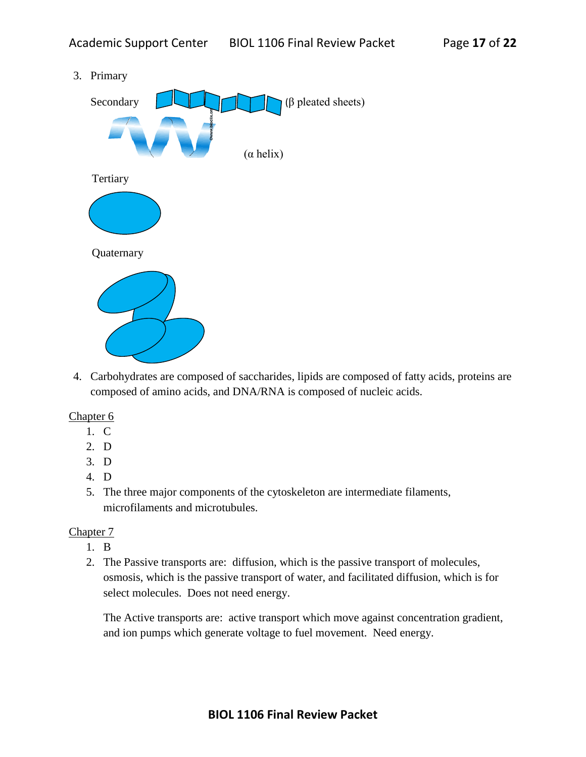3. Primary



4. Carbohydrates are composed of saccharides, lipids are composed of fatty acids, proteins are composed of amino acids, and DNA/RNA is composed of nucleic acids.

## Chapter 6

- 1. C
- 2. D
- 3. D
- 4. D
- 5. The three major components of the cytoskeleton are intermediate filaments, microfilaments and microtubules.

## Chapter 7

- 1. B
- 2. The Passive transports are: diffusion, which is the passive transport of molecules, osmosis, which is the passive transport of water, and facilitated diffusion, which is for select molecules. Does not need energy.

The Active transports are: active transport which move against concentration gradient, and ion pumps which generate voltage to fuel movement. Need energy.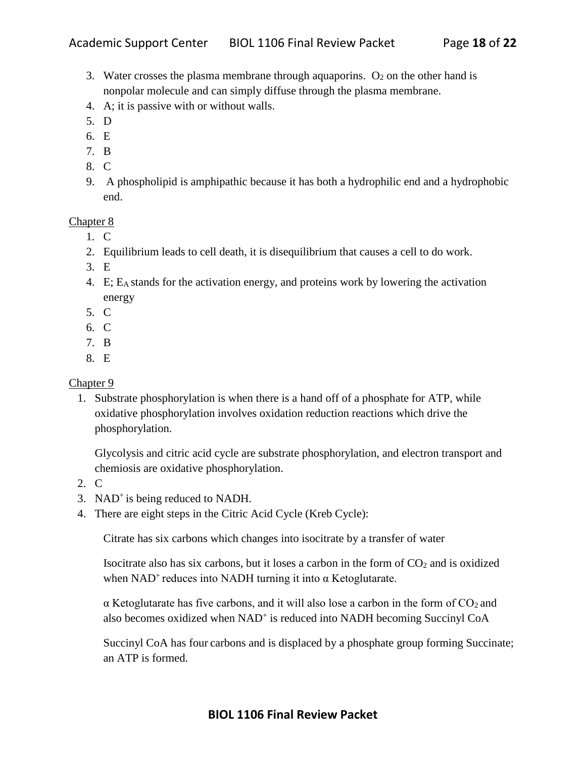- 3. Water crosses the plasma membrane through aquaporins.  $O_2$  on the other hand is nonpolar molecule and can simply diffuse through the plasma membrane.
- 4. A; it is passive with or without walls.
- 5. D
- 6. E
- 7. B
- 8. C
- 9. A phospholipid is amphipathic because it has both a hydrophilic end and a hydrophobic end.

- 1. C
- 2. Equilibrium leads to cell death, it is disequilibrium that causes a cell to do work.
- 3. E
- 4. E; EA stands for the activation energy, and proteins work by lowering the activation energy
- 5. C
- 6. C
- 7. B
- 8. E

# Chapter 9

1. Substrate phosphorylation is when there is a hand off of a phosphate for ATP, while oxidative phosphorylation involves oxidation reduction reactions which drive the phosphorylation.

Glycolysis and citric acid cycle are substrate phosphorylation, and electron transport and chemiosis are oxidative phosphorylation.

- 2. C
- 3. NAD<sup>+</sup>is being reduced to NADH.
- 4. There are eight steps in the Citric Acid Cycle (Kreb Cycle):

Citrate has six carbons which changes into isocitrate by a transfer of water

Isocitrate also has six carbons, but it loses a carbon in the form of  $CO<sub>2</sub>$  and is oxidized when  $NAD<sup>+</sup>$  reduces into NADH turning it into  $\alpha$  Ketoglutarate.

 $\alpha$  Ketoglutarate has five carbons, and it will also lose a carbon in the form of  $CO<sub>2</sub>$  and also becomes oxidized when NAD<sup>+</sup> is reduced into NADH becoming Succinyl CoA

Succinyl CoA has four carbons and is displaced by a phosphate group forming Succinate; an ATP is formed.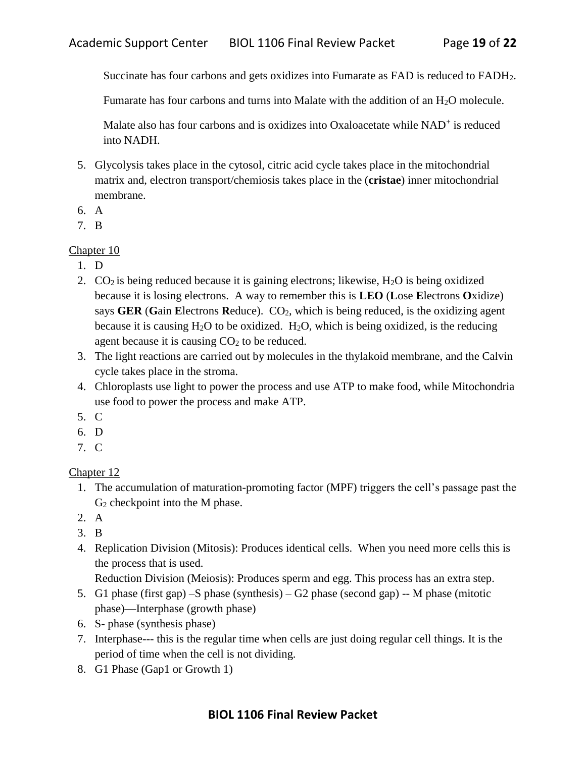Succinate has four carbons and gets oxidizes into Fumarate as FAD is reduced to FADH<sub>2</sub>.

Fumarate has four carbons and turns into Malate with the addition of an H2O molecule.

Malate also has four carbons and is oxidizes into Oxaloacetate while NAD<sup>+</sup> is reduced into NADH.

- 5. Glycolysis takes place in the cytosol, citric acid cycle takes place in the mitochondrial matrix and, electron transport/chemiosis takes place in the (**cristae**) inner mitochondrial membrane.
- 6. A
- 7. B

# Chapter 10

- 1. D
- 2.  $CO<sub>2</sub>$  is being reduced because it is gaining electrons; likewise, H<sub>2</sub>O is being oxidized because it is losing electrons. A way to remember this is **LEO** (**L**ose **E**lectrons **O**xidize) says **GER** (Gain Electrons Reduce). CO<sub>2</sub>, which is being reduced, is the oxidizing agent because it is causing  $H_2O$  to be oxidized.  $H_2O$ , which is being oxidized, is the reducing agent because it is causing  $CO<sub>2</sub>$  to be reduced.
- 3. The light reactions are carried out by molecules in the thylakoid membrane, and the Calvin cycle takes place in the stroma.
- 4. Chloroplasts use light to power the process and use ATP to make food, while Mitochondria use food to power the process and make ATP.
- 5. C
- 6. D
- 7. C

# Chapter 12

- 1. The accumulation of maturation-promoting factor (MPF) triggers the cell's passage past the G<sup>2</sup> checkpoint into the M phase.
- 2. A
- 3. B
- 4. Replication Division (Mitosis): Produces identical cells. When you need more cells this is the process that is used.

Reduction Division (Meiosis): Produces sperm and egg. This process has an extra step.

- 5. G1 phase (first gap) –S phase (synthesis) G2 phase (second gap) -- M phase (mitotic phase)—Interphase (growth phase)
- 6. S- phase (synthesis phase)
- 7. Interphase--- this is the regular time when cells are just doing regular cell things. It is the period of time when the cell is not dividing.
- 8. G1 Phase (Gap1 or Growth 1)

# **BIOL 1106 Final Review Packet**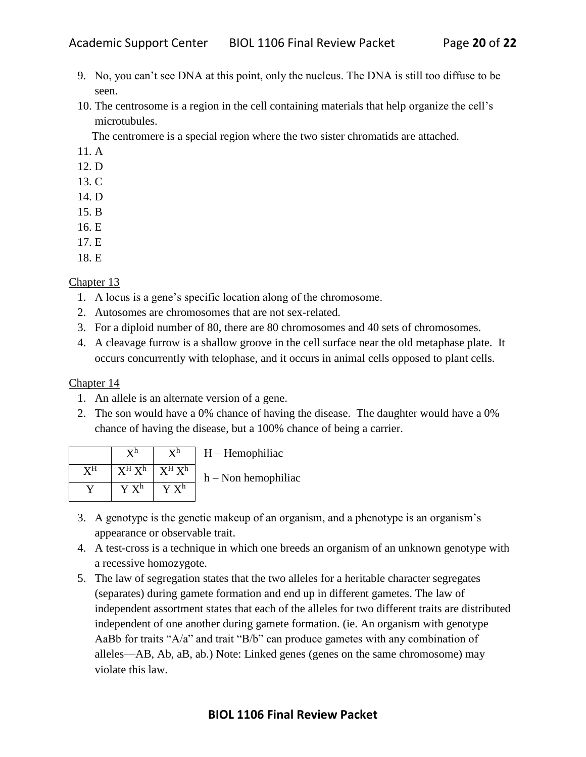- 9. No, you can't see DNA at this point, only the nucleus. The DNA is still too diffuse to be seen.
- 10. The centrosome is a region in the cell containing materials that help organize the cell's microtubules.

The centromere is a special region where the two sister chromatids are attached.

- 11. A
- 12. D
- 13. C
- 14. D
- 15. B
- 16. E
- 17. E
- 18. E

# Chapter 13

- 1. A locus is a gene's specific location along of the chromosome.
- 2. Autosomes are chromosomes that are not sex-related.
- 3. For a diploid number of 80, there are 80 chromosomes and 40 sets of chromosomes.
- 4. A cleavage furrow is a shallow groove in the cell surface near the old metaphase plate. It occurs concurrently with telophase, and it occurs in animal cells opposed to plant cells.

- 1. An allele is an alternate version of a gene.
- 2. The son would have a 0% chance of having the disease. The daughter would have a 0% chance of having the disease, but a 100% chance of being a carrier.

|    |                        | $\mathbf{V}$ h | $H -$ Hemophiliac     |
|----|------------------------|----------------|-----------------------|
| vН | $X^H X^h \mid X^H X^h$ |                | $h$ – Non hemophiliac |
|    | $Y X^h$                | $Y X^h$        |                       |

- 3. A genotype is the genetic makeup of an organism, and a phenotype is an organism's appearance or observable trait.
- 4. A test-cross is a technique in which one breeds an organism of an unknown genotype with a recessive homozygote.
- 5. The law of segregation states that the two alleles for a heritable character segregates (separates) during gamete formation and end up in different gametes. The law of independent assortment states that each of the alleles for two different traits are distributed independent of one another during gamete formation. (ie. An organism with genotype AaBb for traits "A/a" and trait "B/b" can produce gametes with any combination of alleles—AB, Ab, aB, ab.) Note: Linked genes (genes on the same chromosome) may violate this law.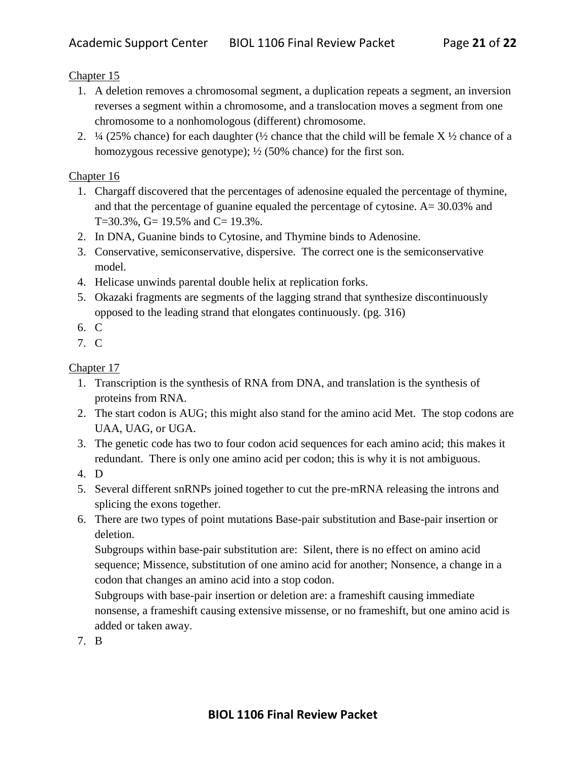- 1. A deletion removes a chromosomal segment, a duplication repeats a segment, an inversion reverses a segment within a chromosome, and a translocation moves a segment from one chromosome to a nonhomologous (different) chromosome.
- 2.  $\frac{1}{4}$  (25% chance) for each daughter ( $\frac{1}{2}$  chance that the child will be female X  $\frac{1}{2}$  chance of a homozygous recessive genotype);  $\frac{1}{2}$  (50% chance) for the first son.

# Chapter 16

- 1. Chargaff discovered that the percentages of adenosine equaled the percentage of thymine, and that the percentage of guanine equaled the percentage of cytosine. A= 30.03% and T=30.3%, G=  $19.5%$  and C=  $19.3%$ .
- 2. In DNA, Guanine binds to Cytosine, and Thymine binds to Adenosine.
- 3. Conservative, semiconservative, dispersive. The correct one is the semiconservative model.
- 4. Helicase unwinds parental double helix at replication forks.
- 5. Okazaki fragments are segments of the lagging strand that synthesize discontinuously opposed to the leading strand that elongates continuously. (pg. 316)
- 6. C
- 7. C

# Chapter 17

- 1. Transcription is the synthesis of RNA from DNA, and translation is the synthesis of proteins from RNA.
- 2. The start codon is AUG; this might also stand for the amino acid Met. The stop codons are UAA, UAG, or UGA.
- 3. The genetic code has two to four codon acid sequences for each amino acid; this makes it redundant. There is only one amino acid per codon; this is why it is not ambiguous.
- 4. D
- 5. Several different snRNPs joined together to cut the pre-mRNA releasing the introns and splicing the exons together.
- 6. There are two types of point mutations Base-pair substitution and Base-pair insertion or deletion.

Subgroups within base-pair substitution are: Silent, there is no effect on amino acid sequence; Missence, substitution of one amino acid for another; Nonsence, a change in a codon that changes an amino acid into a stop codon.

Subgroups with base-pair insertion or deletion are: a frameshift causing immediate nonsense, a frameshift causing extensive missense, or no frameshift, but one amino acid is added or taken away.

7. B